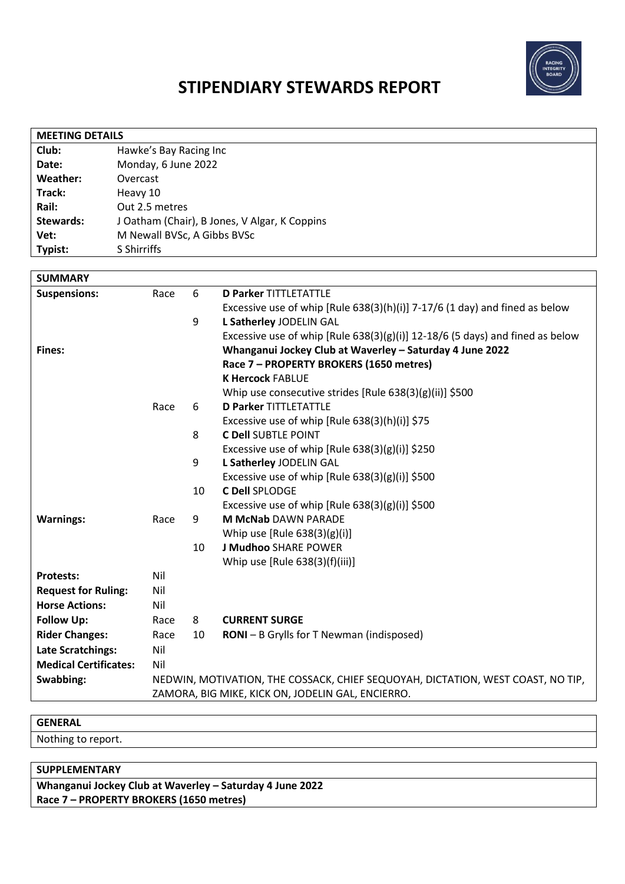

## **STIPENDIARY STEWARDS REPORT**

| <b>MEETING DETAILS</b> |                                               |  |  |
|------------------------|-----------------------------------------------|--|--|
| Club:                  | Hawke's Bay Racing Inc                        |  |  |
| Date:                  | Monday, 6 June 2022                           |  |  |
| Weather:               | Overcast                                      |  |  |
| Track:                 | Heavy 10                                      |  |  |
| Rail:                  | Out 2.5 metres                                |  |  |
| <b>Stewards:</b>       | J Oatham (Chair), B Jones, V Algar, K Coppins |  |  |
| Vet:                   | M Newall BVSc, A Gibbs BVSc                   |  |  |
| Typist:                | S Shirriffs                                   |  |  |
|                        |                                               |  |  |

| <b>SUMMARY</b>               |                                                   |    |                                                                                  |
|------------------------------|---------------------------------------------------|----|----------------------------------------------------------------------------------|
| <b>Suspensions:</b>          | Race                                              | 6  | <b>D Parker TITTLETATTLE</b>                                                     |
|                              |                                                   |    | Excessive use of whip [Rule $638(3)(h)(i)$ ] 7-17/6 (1 day) and fined as below   |
|                              |                                                   | 9  | L Satherley JODELIN GAL                                                          |
|                              |                                                   |    | Excessive use of whip [Rule $638(3)(g)(i)$ ] 12-18/6 (5 days) and fined as below |
| Fines:                       |                                                   |    | Whanganui Jockey Club at Waverley - Saturday 4 June 2022                         |
|                              |                                                   |    | Race 7 - PROPERTY BROKERS (1650 metres)                                          |
|                              |                                                   |    | <b>K Hercock FABLUE</b>                                                          |
|                              |                                                   |    | Whip use consecutive strides [Rule 638(3)(g)(ii)] \$500                          |
|                              | Race                                              | 6  | <b>D Parker TITTLETATTLE</b>                                                     |
|                              |                                                   |    | Excessive use of whip [Rule $638(3)(h)(i)$ ] \$75                                |
|                              |                                                   | 8  | <b>C Dell SUBTLE POINT</b>                                                       |
|                              |                                                   |    | Excessive use of whip [Rule 638(3)(g)(i)] \$250                                  |
|                              |                                                   | 9  | L Satherley JODELIN GAL                                                          |
|                              |                                                   |    | Excessive use of whip [Rule $638(3)(g)(i)$ ] \$500                               |
|                              |                                                   | 10 | <b>C Dell SPLODGE</b>                                                            |
|                              |                                                   |    | Excessive use of whip $[Rule 638(3)(g)(i)]$ \$500                                |
| <b>Warnings:</b>             | Race                                              | 9  | <b>M McNab DAWN PARADE</b>                                                       |
|                              |                                                   |    | Whip use $[Rule 638(3)(g)(i)]$                                                   |
|                              |                                                   | 10 | <b>J Mudhoo SHARE POWER</b>                                                      |
|                              |                                                   |    | Whip use [Rule 638(3)(f)(iii)]                                                   |
| <b>Protests:</b>             | Nil                                               |    |                                                                                  |
| <b>Request for Ruling:</b>   | Nil                                               |    |                                                                                  |
| <b>Horse Actions:</b>        | Nil                                               |    |                                                                                  |
| <b>Follow Up:</b>            | Race                                              | 8  | <b>CURRENT SURGE</b>                                                             |
| <b>Rider Changes:</b>        | Race                                              | 10 | <b>RONI</b> – B Grylls for T Newman (indisposed)                                 |
| <b>Late Scratchings:</b>     | Nil                                               |    |                                                                                  |
| <b>Medical Certificates:</b> | Nil                                               |    |                                                                                  |
| Swabbing:                    |                                                   |    | NEDWIN, MOTIVATION, THE COSSACK, CHIEF SEQUOYAH, DICTATION, WEST COAST, NO TIP,  |
|                              | ZAMORA, BIG MIKE, KICK ON, JODELIN GAL, ENCIERRO. |    |                                                                                  |

## **GENERAL**

Nothing to report.

## **SUPPLEMENTARY**

**Whanganui Jockey Club at Waverley – Saturday 4 June 2022 Race 7 – PROPERTY BROKERS (1650 metres)**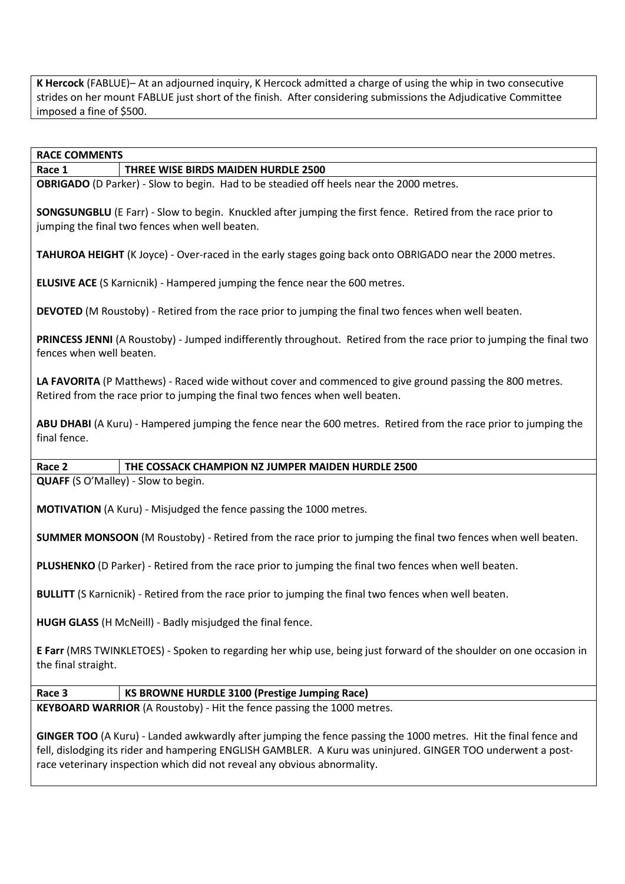**K Hercock** (FABLUE)– At an adjourned inquiry, K Hercock admitted a charge of using the whip in two consecutive strides on her mount FABLUE just short of the finish. After considering submissions the Adjudicative Committee imposed a fine of \$500.

# **Race 1 THREE WISE BIRDS MAIDEN HURDLE 2500 OBRIGADO** (D Parker) - Slow to begin. Had to be steadied off heels near the 2000 metres. **SONGSUNGBLU** (E Farr) - Slow to begin. Knuckled after jumping the first fence. Retired from the race prior to jumping the final two fences when well beaten. **TAHUROA HEIGHT** (K Joyce) - Over-raced in the early stages going back onto OBRIGADO near the 2000 metres. **ELUSIVE ACE** (S Karnicnik) - Hampered jumping the fence near the 600 metres. **DEVOTED** (M Roustoby) - Retired from the race prior to jumping the final two fences when well beaten. **PRINCESS JENNI** (A Roustoby) - Jumped indifferently throughout. Retired from the race prior to jumping the final two fences when well beaten. LA FAVORITA (P Matthews) - Raced wide without cover and commenced to give ground passing the 800 metres. Retired from the race prior to jumping the final two fences when well beaten. **ABU DHABI** (A Kuru) - Hampered jumping the fence near the 600 metres. Retired from the race prior to jumping the final fence.

**Race 2 THE COSSACK CHAMPION NZ JUMPER MAIDEN HURDLE 2500 QUAFF** (S O'Malley) - Slow to begin.

**MOTIVATION** (A Kuru) - Misjudged the fence passing the 1000 metres.

**SUMMER MONSOON** (M Roustoby) - Retired from the race prior to jumping the final two fences when well beaten.

**PLUSHENKO** (D Parker) - Retired from the race prior to jumping the final two fences when well beaten.

**BULLITT** (S Karnicnik) - Retired from the race prior to jumping the final two fences when well beaten.

**HUGH GLASS** (H McNeill) - Badly misjudged the final fence.

**RACE COMMENTS**

**E Farr** (MRS TWINKLETOES) - Spoken to regarding her whip use, being just forward of the shoulder on one occasion in the final straight.

## **Race 3 KS BROWNE HURDLE 3100 (Prestige Jumping Race)**

**KEYBOARD WARRIOR** (A Roustoby) - Hit the fence passing the 1000 metres.

**GINGER TOO** (A Kuru) - Landed awkwardly after jumping the fence passing the 1000 metres. Hit the final fence and fell, dislodging its rider and hampering ENGLISH GAMBLER. A Kuru was uninjured. GINGER TOO underwent a postrace veterinary inspection which did not reveal any obvious abnormality.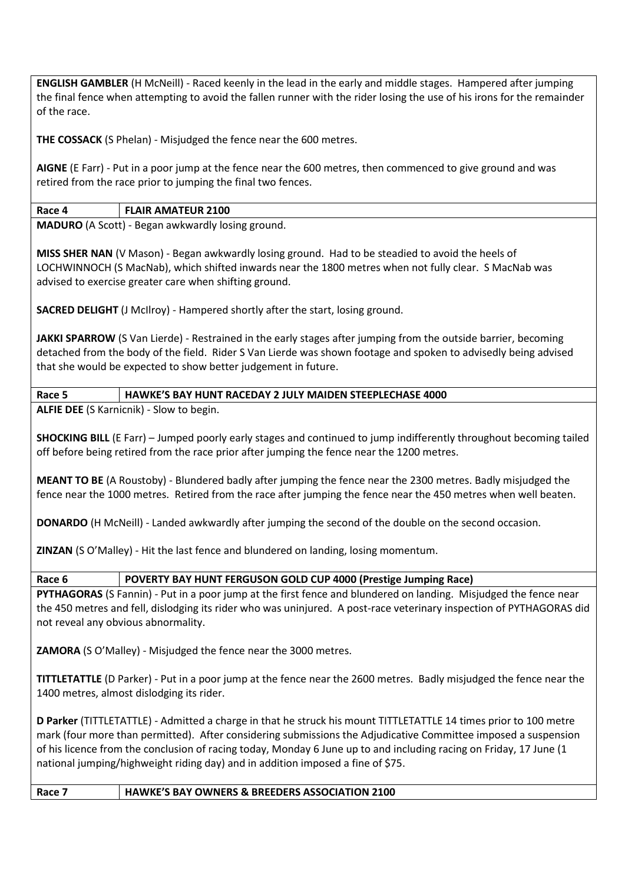**ENGLISH GAMBLER** (H McNeill) - Raced keenly in the lead in the early and middle stages. Hampered after jumping the final fence when attempting to avoid the fallen runner with the rider losing the use of his irons for the remainder of the race.

**THE COSSACK** (S Phelan) - Misjudged the fence near the 600 metres.

**AIGNE** (E Farr) - Put in a poor jump at the fence near the 600 metres, then commenced to give ground and was retired from the race prior to jumping the final two fences.

## **Race 4 FLAIR AMATEUR 2100**

**MADURO** (A Scott) - Began awkwardly losing ground.

**MISS SHER NAN** (V Mason) - Began awkwardly losing ground. Had to be steadied to avoid the heels of LOCHWINNOCH (S MacNab), which shifted inwards near the 1800 metres when not fully clear. S MacNab was advised to exercise greater care when shifting ground.

**SACRED DELIGHT** (J McIlroy) - Hampered shortly after the start, losing ground.

JAKKI SPARROW (S Van Lierde) - Restrained in the early stages after jumping from the outside barrier, becoming detached from the body of the field. Rider S Van Lierde was shown footage and spoken to advisedly being advised that she would be expected to show better judgement in future.

## **Race 5 HAWKE'S BAY HUNT RACEDAY 2 JULY MAIDEN STEEPLECHASE 4000**

**ALFIE DEE** (S Karnicnik) - Slow to begin.

**SHOCKING BILL** (E Farr) – Jumped poorly early stages and continued to jump indifferently throughout becoming tailed off before being retired from the race prior after jumping the fence near the 1200 metres.

**MEANT TO BE** (A Roustoby) - Blundered badly after jumping the fence near the 2300 metres. Badly misjudged the fence near the 1000 metres. Retired from the race after jumping the fence near the 450 metres when well beaten.

**DONARDO** (H McNeill) - Landed awkwardly after jumping the second of the double on the second occasion.

**ZINZAN** (S O'Malley) - Hit the last fence and blundered on landing, losing momentum.

## **Race 6 POVERTY BAY HUNT FERGUSON GOLD CUP 4000 (Prestige Jumping Race)**

**PYTHAGORAS** (S Fannin) - Put in a poor jump at the first fence and blundered on landing. Misjudged the fence near the 450 metres and fell, dislodging its rider who was uninjured. A post-race veterinary inspection of PYTHAGORAS did not reveal any obvious abnormality.

**ZAMORA** (S O'Malley) - Misjudged the fence near the 3000 metres.

**TITTLETATTLE** (D Parker) - Put in a poor jump at the fence near the 2600 metres. Badly misjudged the fence near the 1400 metres, almost dislodging its rider.

**D Parker** (TITTLETATTLE) - Admitted a charge in that he struck his mount TITTLETATTLE 14 times prior to 100 metre mark (four more than permitted). After considering submissions the Adjudicative Committee imposed a suspension of his licence from the conclusion of racing today, Monday 6 June up to and including racing on Friday, 17 June (1 national jumping/highweight riding day) and in addition imposed a fine of \$75.

## **Race 7 HAWKE'S BAY OWNERS & BREEDERS ASSOCIATION 2100**